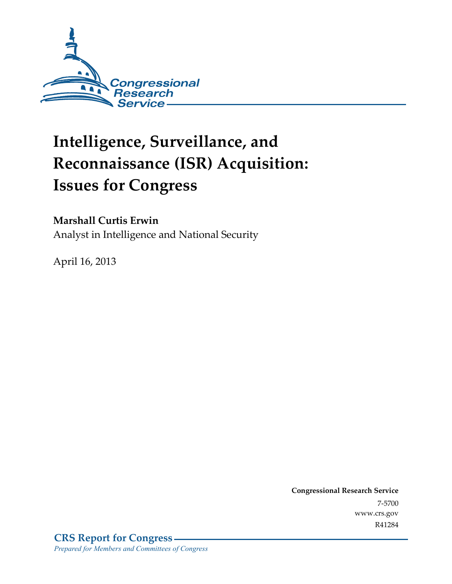

# **Intelligence, Surveillance, and Reconnaissance (ISR) Acquisition: Issues for Congress**

#### **Marshall Curtis Erwin**

Analyst in Intelligence and National Security

April 16, 2013

**Congressional Research Service**  7-5700 www.crs.gov R41284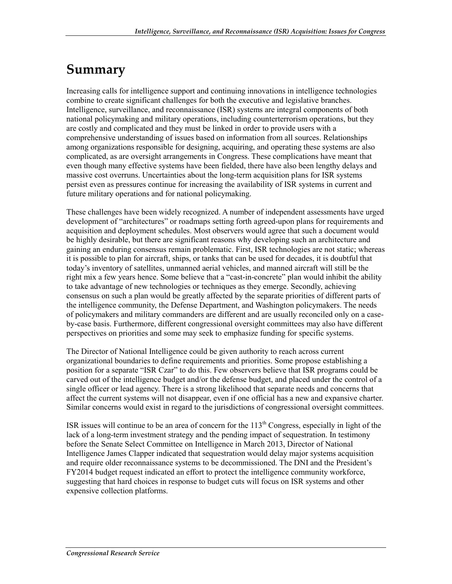### **Summary**

Increasing calls for intelligence support and continuing innovations in intelligence technologies combine to create significant challenges for both the executive and legislative branches. Intelligence, surveillance, and reconnaissance (ISR) systems are integral components of both national policymaking and military operations, including counterterrorism operations, but they are costly and complicated and they must be linked in order to provide users with a comprehensive understanding of issues based on information from all sources. Relationships among organizations responsible for designing, acquiring, and operating these systems are also complicated, as are oversight arrangements in Congress. These complications have meant that even though many effective systems have been fielded, there have also been lengthy delays and massive cost overruns. Uncertainties about the long-term acquisition plans for ISR systems persist even as pressures continue for increasing the availability of ISR systems in current and future military operations and for national policymaking.

These challenges have been widely recognized. A number of independent assessments have urged development of "architectures" or roadmaps setting forth agreed-upon plans for requirements and acquisition and deployment schedules. Most observers would agree that such a document would be highly desirable, but there are significant reasons why developing such an architecture and gaining an enduring consensus remain problematic. First, ISR technologies are not static; whereas it is possible to plan for aircraft, ships, or tanks that can be used for decades, it is doubtful that today's inventory of satellites, unmanned aerial vehicles, and manned aircraft will still be the right mix a few years hence. Some believe that a "cast-in-concrete" plan would inhibit the ability to take advantage of new technologies or techniques as they emerge. Secondly, achieving consensus on such a plan would be greatly affected by the separate priorities of different parts of the intelligence community, the Defense Department, and Washington policymakers. The needs of policymakers and military commanders are different and are usually reconciled only on a caseby-case basis. Furthermore, different congressional oversight committees may also have different perspectives on priorities and some may seek to emphasize funding for specific systems.

The Director of National Intelligence could be given authority to reach across current organizational boundaries to define requirements and priorities. Some propose establishing a position for a separate "ISR Czar" to do this. Few observers believe that ISR programs could be carved out of the intelligence budget and/or the defense budget, and placed under the control of a single officer or lead agency. There is a strong likelihood that separate needs and concerns that affect the current systems will not disappear, even if one official has a new and expansive charter. Similar concerns would exist in regard to the jurisdictions of congressional oversight committees.

ISR issues will continue to be an area of concern for the 113<sup>th</sup> Congress, especially in light of the lack of a long-term investment strategy and the pending impact of sequestration. In testimony before the Senate Select Committee on Intelligence in March 2013, Director of National Intelligence James Clapper indicated that sequestration would delay major systems acquisition and require older reconnaissance systems to be decommissioned. The DNI and the President's FY2014 budget request indicated an effort to protect the intelligence community workforce, suggesting that hard choices in response to budget cuts will focus on ISR systems and other expensive collection platforms.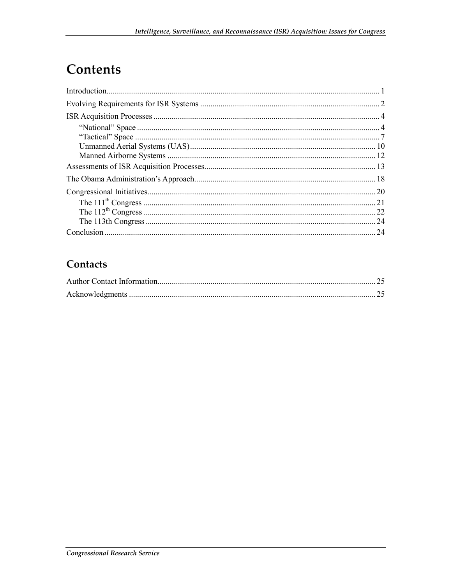# Contents

| 24 |
|----|

#### Contacts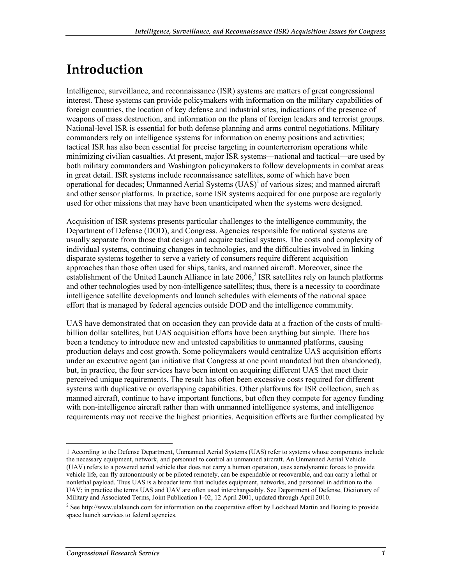# **Introduction**

Intelligence, surveillance, and reconnaissance (ISR) systems are matters of great congressional interest. These systems can provide policymakers with information on the military capabilities of foreign countries, the location of key defense and industrial sites, indications of the presence of weapons of mass destruction, and information on the plans of foreign leaders and terrorist groups. National-level ISR is essential for both defense planning and arms control negotiations. Military commanders rely on intelligence systems for information on enemy positions and activities; tactical ISR has also been essential for precise targeting in counterterrorism operations while minimizing civilian casualties. At present, major ISR systems—national and tactical—are used by both military commanders and Washington policymakers to follow developments in combat areas in great detail. ISR systems include reconnaissance satellites, some of which have been operational for decades; Unmanned Aerial Systems  $(UAS)^{1}$  of various sizes; and manned aircraft and other sensor platforms. In practice, some ISR systems acquired for one purpose are regularly used for other missions that may have been unanticipated when the systems were designed.

Acquisition of ISR systems presents particular challenges to the intelligence community, the Department of Defense (DOD), and Congress. Agencies responsible for national systems are usually separate from those that design and acquire tactical systems. The costs and complexity of individual systems, continuing changes in technologies, and the difficulties involved in linking disparate systems together to serve a variety of consumers require different acquisition approaches than those often used for ships, tanks, and manned aircraft. Moreover, since the establishment of the United Launch Alliance in late 2006,<sup>2</sup> ISR satellites rely on launch platforms and other technologies used by non-intelligence satellites; thus, there is a necessity to coordinate intelligence satellite developments and launch schedules with elements of the national space effort that is managed by federal agencies outside DOD and the intelligence community.

UAS have demonstrated that on occasion they can provide data at a fraction of the costs of multibillion dollar satellites, but UAS acquisition efforts have been anything but simple. There has been a tendency to introduce new and untested capabilities to unmanned platforms, causing production delays and cost growth. Some policymakers would centralize UAS acquisition efforts under an executive agent (an initiative that Congress at one point mandated but then abandoned), but, in practice, the four services have been intent on acquiring different UAS that meet their perceived unique requirements. The result has often been excessive costs required for different systems with duplicative or overlapping capabilities. Other platforms for ISR collection, such as manned aircraft, continue to have important functions, but often they compete for agency funding with non-intelligence aircraft rather than with unmanned intelligence systems, and intelligence requirements may not receive the highest priorities. Acquisition efforts are further complicated by

<sup>1</sup> 1 According to the Defense Department, Unmanned Aerial Systems (UAS) refer to systems whose components include the necessary equipment, network, and personnel to control an unmanned aircraft. An Unmanned Aerial Vehicle (UAV) refers to a powered aerial vehicle that does not carry a human operation, uses aerodynamic forces to provide vehicle life, can fly autonomously or be piloted remotely, can be expendable or recoverable, and can carry a lethal or nonlethal payload. Thus UAS is a broader term that includes equipment, networks, and personnel in addition to the UAV; in practice the terms UAS and UAV are often used interchangeably. See Department of Defense, Dictionary of Military and Associated Terms, Joint Publication 1-02, 12 April 2001, updated through April 2010.

<sup>&</sup>lt;sup>2</sup> See http://www.ulalaunch.com for information on the cooperative effort by Lockheed Martin and Boeing to provide space launch services to federal agencies.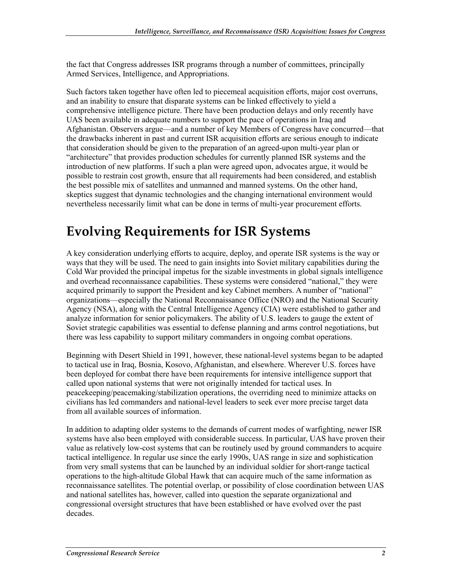the fact that Congress addresses ISR programs through a number of committees, principally Armed Services, Intelligence, and Appropriations.

Such factors taken together have often led to piecemeal acquisition efforts, major cost overruns, and an inability to ensure that disparate systems can be linked effectively to yield a comprehensive intelligence picture. There have been production delays and only recently have UAS been available in adequate numbers to support the pace of operations in Iraq and Afghanistan. Observers argue—and a number of key Members of Congress have concurred—that the drawbacks inherent in past and current ISR acquisition efforts are serious enough to indicate that consideration should be given to the preparation of an agreed-upon multi-year plan or "architecture" that provides production schedules for currently planned ISR systems and the introduction of new platforms. If such a plan were agreed upon, advocates argue, it would be possible to restrain cost growth, ensure that all requirements had been considered, and establish the best possible mix of satellites and unmanned and manned systems. On the other hand, skeptics suggest that dynamic technologies and the changing international environment would nevertheless necessarily limit what can be done in terms of multi-year procurement efforts.

# **Evolving Requirements for ISR Systems**

A key consideration underlying efforts to acquire, deploy, and operate ISR systems is the way or ways that they will be used. The need to gain insights into Soviet military capabilities during the Cold War provided the principal impetus for the sizable investments in global signals intelligence and overhead reconnaissance capabilities. These systems were considered "national," they were acquired primarily to support the President and key Cabinet members. A number of "national" organizations—especially the National Reconnaissance Office (NRO) and the National Security Agency (NSA), along with the Central Intelligence Agency (CIA) were established to gather and analyze information for senior policymakers. The ability of U.S. leaders to gauge the extent of Soviet strategic capabilities was essential to defense planning and arms control negotiations, but there was less capability to support military commanders in ongoing combat operations.

Beginning with Desert Shield in 1991, however, these national-level systems began to be adapted to tactical use in Iraq, Bosnia, Kosovo, Afghanistan, and elsewhere. Wherever U.S. forces have been deployed for combat there have been requirements for intensive intelligence support that called upon national systems that were not originally intended for tactical uses. In peacekeeping/peacemaking/stabilization operations, the overriding need to minimize attacks on civilians has led commanders and national-level leaders to seek ever more precise target data from all available sources of information.

In addition to adapting older systems to the demands of current modes of warfighting, newer ISR systems have also been employed with considerable success. In particular, UAS have proven their value as relatively low-cost systems that can be routinely used by ground commanders to acquire tactical intelligence. In regular use since the early 1990s, UAS range in size and sophistication from very small systems that can be launched by an individual soldier for short-range tactical operations to the high-altitude Global Hawk that can acquire much of the same information as reconnaissance satellites. The potential overlap, or possibility of close coordination between UAS and national satellites has, however, called into question the separate organizational and congressional oversight structures that have been established or have evolved over the past decades.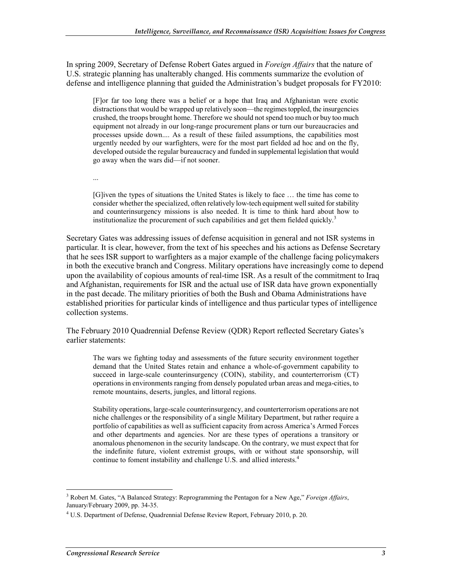In spring 2009, Secretary of Defense Robert Gates argued in *Foreign Affairs* that the nature of U.S. strategic planning has unalterably changed. His comments summarize the evolution of defense and intelligence planning that guided the Administration's budget proposals for FY2010:

[F]or far too long there was a belief or a hope that Iraq and Afghanistan were exotic distractions that would be wrapped up relatively soon—the regimes toppled, the insurgencies crushed, the troops brought home. Therefore we should not spend too much or buy too much equipment not already in our long-range procurement plans or turn our bureaucracies and processes upside down.... As a result of these failed assumptions, the capabilities most urgently needed by our warfighters, were for the most part fielded ad hoc and on the fly, developed outside the regular bureaucracy and funded in supplemental legislation that would go away when the wars did—if not sooner.

...

[G]iven the types of situations the United States is likely to face … the time has come to consider whether the specialized, often relatively low-tech equipment well suited for stability and counterinsurgency missions is also needed. It is time to think hard about how to institutionalize the procurement of such capabilities and get them fielded quickly.<sup>3</sup>

Secretary Gates was addressing issues of defense acquisition in general and not ISR systems in particular. It is clear, however, from the text of his speeches and his actions as Defense Secretary that he sees ISR support to warfighters as a major example of the challenge facing policymakers in both the executive branch and Congress. Military operations have increasingly come to depend upon the availability of copious amounts of real-time ISR. As a result of the commitment to Iraq and Afghanistan, requirements for ISR and the actual use of ISR data have grown exponentially in the past decade. The military priorities of both the Bush and Obama Administrations have established priorities for particular kinds of intelligence and thus particular types of intelligence collection systems.

The February 2010 Quadrennial Defense Review (QDR) Report reflected Secretary Gates's earlier statements:

The wars we fighting today and assessments of the future security environment together demand that the United States retain and enhance a whole-of-government capability to succeed in large-scale counterinsurgency (COIN), stability, and counterterrorism (CT) operations in environments ranging from densely populated urban areas and mega-cities, to remote mountains, deserts, jungles, and littoral regions.

Stability operations, large-scale counterinsurgency, and counterterrorism operations are not niche challenges or the responsibility of a single Military Department, but rather require a portfolio of capabilities as well as sufficient capacity from across America's Armed Forces and other departments and agencies. Nor are these types of operations a transitory or anomalous phenomenon in the security landscape. On the contrary, we must expect that for the indefinite future, violent extremist groups, with or without state sponsorship, will continue to foment instability and challenge  $\dot{U}$ .S. and allied interests.<sup>4</sup>

<sup>3</sup> Robert M. Gates, "A Balanced Strategy: Reprogramming the Pentagon for a New Age," *Foreign Affairs*, January/February 2009, pp. 34-35.

<sup>&</sup>lt;sup>4</sup> U.S. Department of Defense, Quadrennial Defense Review Report, February 2010, p. 20.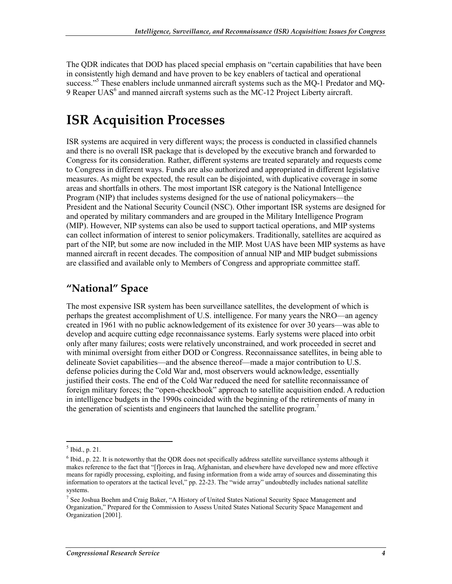The QDR indicates that DOD has placed special emphasis on "certain capabilities that have been in consistently high demand and have proven to be key enablers of tactical and operational success."<sup>5</sup> These enablers include unmanned aircraft systems such as the MQ-1 Predator and MQ-9 Reaper UAS $<sup>6</sup>$  and manned aircraft systems such as the MC-12 Project Liberty aircraft.</sup>

# **ISR Acquisition Processes**

ISR systems are acquired in very different ways; the process is conducted in classified channels and there is no overall ISR package that is developed by the executive branch and forwarded to Congress for its consideration. Rather, different systems are treated separately and requests come to Congress in different ways. Funds are also authorized and appropriated in different legislative measures. As might be expected, the result can be disjointed, with duplicative coverage in some areas and shortfalls in others. The most important ISR category is the National Intelligence Program (NIP) that includes systems designed for the use of national policymakers—the President and the National Security Council (NSC). Other important ISR systems are designed for and operated by military commanders and are grouped in the Military Intelligence Program (MIP). However, NIP systems can also be used to support tactical operations, and MIP systems can collect information of interest to senior policymakers. Traditionally, satellites are acquired as part of the NIP, but some are now included in the MIP. Most UAS have been MIP systems as have manned aircraft in recent decades. The composition of annual NIP and MIP budget submissions are classified and available only to Members of Congress and appropriate committee staff.

#### **"National" Space**

The most expensive ISR system has been surveillance satellites, the development of which is perhaps the greatest accomplishment of U.S. intelligence. For many years the NRO—an agency created in 1961 with no public acknowledgement of its existence for over 30 years—was able to develop and acquire cutting edge reconnaissance systems. Early systems were placed into orbit only after many failures; costs were relatively unconstrained, and work proceeded in secret and with minimal oversight from either DOD or Congress. Reconnaissance satellites, in being able to delineate Soviet capabilities—and the absence thereof—made a major contribution to U.S. defense policies during the Cold War and, most observers would acknowledge, essentially justified their costs. The end of the Cold War reduced the need for satellite reconnaissance of foreign military forces; the "open-checkbook" approach to satellite acquisition ended. A reduction in intelligence budgets in the 1990s coincided with the beginning of the retirements of many in the generation of scientists and engineers that launched the satellite program.<sup>7</sup>

<sup>1</sup>  $<sup>5</sup>$  Ibid., p. 21.</sup>

 $6$  Ibid., p. 22. It is noteworthy that the QDR does not specifically address satellite surveillance systems although it makes reference to the fact that "[f]orces in Iraq, Afghanistan, and elsewhere have developed new and more effective means for rapidly processing, exploiting, and fusing information from a wide array of sources and disseminating this information to operators at the tactical level," pp. 22-23. The "wide array" undoubtedly includes national satellite systems.

<sup>&</sup>lt;sup>7</sup> See Joshua Boehm and Craig Baker, "A History of United States National Security Space Management and Organization," Prepared for the Commission to Assess United States National Security Space Management and Organization [2001].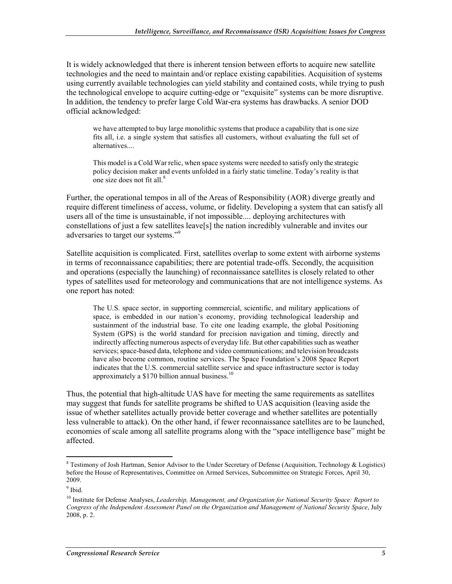It is widely acknowledged that there is inherent tension between efforts to acquire new satellite technologies and the need to maintain and/or replace existing capabilities. Acquisition of systems using currently available technologies can yield stability and contained costs, while trying to push the technological envelope to acquire cutting-edge or "exquisite" systems can be more disruptive. In addition, the tendency to prefer large Cold War-era systems has drawbacks. A senior DOD official acknowledged:

we have attempted to buy large monolithic systems that produce a capability that is one size fits all, i.e. a single system that satisfies all customers, without evaluating the full set of alternatives....

This model is a Cold War relic, when space systems were needed to satisfy only the strategic policy decision maker and events unfolded in a fairly static timeline. Today's reality is that one size does not fit all.<sup>8</sup>

Further, the operational tempos in all of the Areas of Responsibility (AOR) diverge greatly and require different timeliness of access, volume, or fidelity. Developing a system that can satisfy all users all of the time is unsustainable, if not impossible.... deploying architectures with constellations of just a few satellites leave[s] the nation incredibly vulnerable and invites our adversaries to target our systems."<sup>9</sup>

Satellite acquisition is complicated. First, satellites overlap to some extent with airborne systems in terms of reconnaissance capabilities; there are potential trade-offs. Secondly, the acquisition and operations (especially the launching) of reconnaissance satellites is closely related to other types of satellites used for meteorology and communications that are not intelligence systems. As one report has noted:

The U.S. space sector, in supporting commercial, scientific, and military applications of space, is embedded in our nation's economy, providing technological leadership and sustainment of the industrial base. To cite one leading example, the global Positioning System (GPS) is the world standard for precision navigation and timing, directly and indirectly affecting numerous aspects of everyday life. But other capabilities such as weather services; space-based data, telephone and video communications; and television broadcasts have also become common, routine services. The Space Foundation's 2008 Space Report indicates that the U.S. commercial satellite service and space infrastructure sector is today approximately a \$170 billion annual business.<sup>10</sup>

Thus, the potential that high-altitude UAS have for meeting the same requirements as satellites may suggest that funds for satellite programs be shifted to UAS acquisition (leaving aside the issue of whether satellites actually provide better coverage and whether satellites are potentially less vulnerable to attack). On the other hand, if fewer reconnaissance satellites are to be launched, economies of scale among all satellite programs along with the "space intelligence base" might be affected.

**Example 3**<br><sup>8</sup> Testimony of Josh Hartman, Senior Advisor to the Under Secretary of Defense (Acquisition, Technology & Logistics) before the House of Representatives, Committee on Armed Services, Subcommittee on Strategic Forces, April 30, 2009.

<sup>&</sup>lt;sup>9</sup> Ibid.

<sup>10</sup> Institute for Defense Analyses, *Leadership, Management, and Organization for National Security Space: Report to Congress of the Independent Assessment Panel on the Organization and Management of National Security Space*, July 2008, p. 2.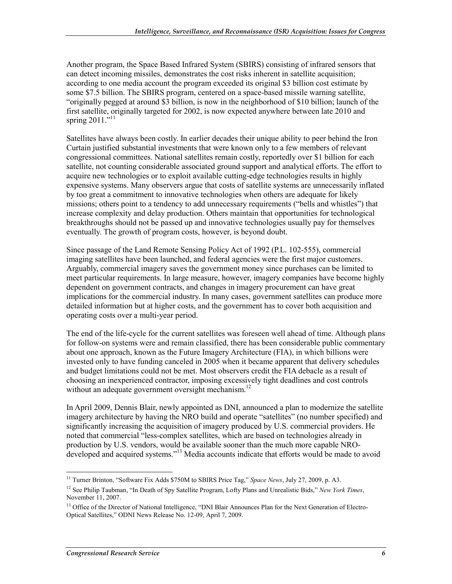Another program, the Space Based Infrared System (SBIRS) consisting of infrared sensors that can detect incoming missiles, demonstrates the cost risks inherent in satellite acquisition; according to one media account the program exceeded its original \$3 billion cost estimate by some \$7.5 billion. The SBIRS program, centered on a space-based missile warning satellite, "originally pegged at around \$3 billion, is now in the neighborhood of \$10 billion; launch of the first satellite, originally targeted for 2002, is now expected anywhere between late 2010 and spring  $2011$ ."<sup>11</sup>

Satellites have always been costly. In earlier decades their unique ability to peer behind the Iron Curtain justified substantial investments that were known only to a few members of relevant congressional committees. National satellites remain costly, reportedly over \$1 billion for each satellite, not counting considerable associated ground support and analytical efforts. The effort to acquire new technologies or to exploit available cutting-edge technologies results in highly expensive systems. Many observers argue that costs of satellite systems are unnecessarily inflated by too great a commitment to innovative technologies when others are adequate for likely missions; others point to a tendency to add unnecessary requirements ("bells and whistles") that increase complexity and delay production. Others maintain that opportunities for technological breakthroughs should not be passed up and innovative technologies usually pay for themselves eventually. The growth of program costs, however, is beyond doubt.

Since passage of the Land Remote Sensing Policy Act of 1992 (P.L. 102-555), commercial imaging satellites have been launched, and federal agencies were the first major customers. Arguably, commercial imagery saves the government money since purchases can be limited to meet particular requirements. In large measure, however, imagery companies have become highly dependent on government contracts, and changes in imagery procurement can have great implications for the commercial industry. In many cases, government satellites can produce more detailed information but at higher costs, and the government has to cover both acquisition and operating costs over a multi-year period.

The end of the life-cycle for the current satellites was foreseen well ahead of time. Although plans for follow-on systems were and remain classified, there has been considerable public commentary about one approach, known as the Future Imagery Architecture (FIA), in which billions were invested only to have funding canceled in 2005 when it became apparent that delivery schedules and budget limitations could not be met. Most observers credit the FIA debacle as a result of choosing an inexperienced contractor, imposing excessively tight deadlines and cost controls without an adequate government oversight mechanism.<sup>12</sup>

In April 2009, Dennis Blair, newly appointed as DNI, announced a plan to modernize the satellite imagery architecture by having the NRO build and operate "satellites" (no number specified) and significantly increasing the acquisition of imagery produced by U.S. commercial providers. He noted that commercial "less-complex satellites, which are based on technologies already in production by U.S. vendors, would be available sooner than the much more capable NROdeveloped and acquired systems."13 Media accounts indicate that efforts would be made to avoid

<sup>11</sup> Turner Brinton, "Software Fix Adds \$750M to SBIRS Price Tag," *Space News*, July 27, 2009, p. A3.

<sup>12</sup> See Philip Taubman, "In Death of Spy Satellite Program, Lofty Plans and Unrealistic Bids," *New York Times*, November 11, 2007.

<sup>&</sup>lt;sup>13</sup> Office of the Director of National Intelligence, "DNI Blair Announces Plan for the Next Generation of Electro-Optical Satellites," ODNI News Release No. 12-09, April 7, 2009.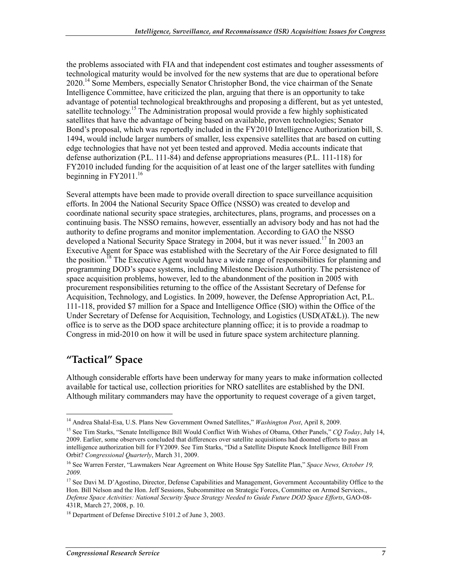the problems associated with FIA and that independent cost estimates and tougher assessments of technological maturity would be involved for the new systems that are due to operational before 2020.<sup>14</sup> Some Members, especially Senator Christopher Bond, the vice chairman of the Senate Intelligence Committee, have criticized the plan, arguing that there is an opportunity to take advantage of potential technological breakthroughs and proposing a different, but as yet untested, satellite technology.<sup>15</sup> The Administration proposal would provide a few highly sophisticated satellites that have the advantage of being based on available, proven technologies; Senator Bond's proposal, which was reportedly included in the FY2010 Intelligence Authorization bill, S. 1494, would include larger numbers of smaller, less expensive satellites that are based on cutting edge technologies that have not yet been tested and approved. Media accounts indicate that defense authorization (P.L. 111-84) and defense appropriations measures (P.L. 111-118) for FY2010 included funding for the acquisition of at least one of the larger satellites with funding beginning in  $FY2011<sup>16</sup>$ 

Several attempts have been made to provide overall direction to space surveillance acquisition efforts. In 2004 the National Security Space Office (NSSO) was created to develop and coordinate national security space strategies, architectures, plans, programs, and processes on a continuing basis. The NSSO remains, however, essentially an advisory body and has not had the authority to define programs and monitor implementation. According to GAO the NSSO developed a National Security Space Strategy in 2004, but it was never issued.<sup>17</sup> In 2003 an Executive Agent for Space was established with the Secretary of the Air Force designated to fill the position.<sup>18</sup> The Executive Agent would have a wide range of responsibilities for planning and programming DOD's space systems, including Milestone Decision Authority. The persistence of space acquisition problems, however, led to the abandonment of the position in 2005 with procurement responsibilities returning to the office of the Assistant Secretary of Defense for Acquisition, Technology, and Logistics. In 2009, however, the Defense Appropriation Act, P.L. 111-118, provided \$7 million for a Space and Intelligence Office (SIO) within the Office of the Under Secretary of Defense for Acquisition, Technology, and Logistics (USD(AT&L)). The new office is to serve as the DOD space architecture planning office; it is to provide a roadmap to Congress in mid-2010 on how it will be used in future space system architecture planning.

#### **"Tactical" Space**

1

Although considerable efforts have been underway for many years to make information collected available for tactical use, collection priorities for NRO satellites are established by the DNI. Although military commanders may have the opportunity to request coverage of a given target,

<sup>14</sup> Andrea Shalal-Esa, U.S. Plans New Government Owned Satellites," *Washington Post*, April 8, 2009.

<sup>15</sup> See Tim Starks, "Senate Intelligence Bill Would Conflict With Wishes of Obama, Other Panels," *CQ Today*, July 14, 2009. Earlier, some observers concluded that differences over satellite acquisitions had doomed efforts to pass an intelligence authorization bill for FY2009. See Tim Starks, "Did a Satellite Dispute Knock Intelligence Bill From Orbit? *Congressional Quarterly*, March 31, 2009.

<sup>16</sup> See Warren Ferster, "Lawmakers Near Agreement on White House Spy Satellite Plan," *Space News, October 19, 2009.* 

<sup>&</sup>lt;sup>17</sup> See Davi M. D'Agostino, Director, Defense Capabilities and Management, Government Accountability Office to the Hon. Bill Nelson and the Hon. Jeff Sessions, Subcommittee on Strategic Forces, Committee on Armed Services., *Defense Space Activities: National Security Space Strategy Needed to Guide Future DOD Space Efforts*, GAO-08- 431R, March 27, 2008, p. 10.

<sup>&</sup>lt;sup>18</sup> Department of Defense Directive 5101.2 of June 3, 2003.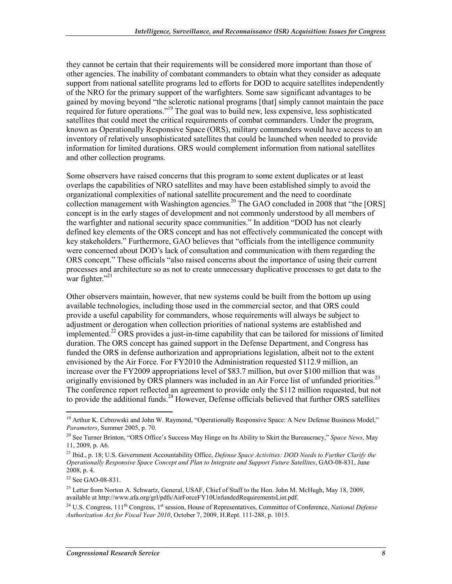they cannot be certain that their requirements will be considered more important than those of other agencies. The inability of combatant commanders to obtain what they consider as adequate support from national satellite programs led to efforts for DOD to acquire satellites independently of the NRO for the primary support of the warfighters. Some saw significant advantages to be gained by moving beyond "the sclerotic national programs [that] simply cannot maintain the pace required for future operations."19 The goal was to build new, less expensive, less sophisticated satellites that could meet the critical requirements of combat commanders. Under the program, known as Operationally Responsive Space (ORS), military commanders would have access to an inventory of relatively unsophisticated satellites that could be launched when needed to provide information for limited durations. ORS would complement information from national satellites and other collection programs.

Some observers have raised concerns that this program to some extent duplicates or at least overlaps the capabilities of NRO satellites and may have been established simply to avoid the organizational complexities of national satellite procurement and the need to coordinate collection management with Washington agencies.<sup>20</sup> The GAO concluded in 2008 that "the [ORS] concept is in the early stages of development and not commonly understood by all members of the warfighter and national security space communities." In addition "DOD has not clearly defined key elements of the ORS concept and has not effectively communicated the concept with key stakeholders." Furthermore, GAO believes that "officials from the intelligence community were concerned about DOD's lack of consultation and communication with them regarding the ORS concept." These officials "also raised concerns about the importance of using their current processes and architecture so as not to create unnecessary duplicative processes to get data to the war fighter."<sup>21</sup>

Other observers maintain, however, that new systems could be built from the bottom up using available technologies, including those used in the commercial sector, and that ORS could provide a useful capability for commanders, whose requirements will always be subject to adjustment or derogation when collection priorities of national systems are established and implemented.<sup>22</sup> ORS provides a just-in-time capability that can be tailored for missions of limited duration. The ORS concept has gained support in the Defense Department, and Congress has funded the ORS in defense authorization and appropriations legislation, albeit not to the extent envisioned by the Air Force. For FY2010 the Administration requested \$112.9 million, an increase over the FY2009 appropriations level of \$83.7 million, but over \$100 million that was originally envisioned by ORS planners was included in an Air Force list of unfunded priorities.<sup>23</sup> The conference report reflected an agreement to provide only the \$112 million requested, but not to provide the additional funds.<sup>24</sup> However, Defense officials believed that further ORS satellites

<sup>&</sup>lt;sup>19</sup> Arthur K. Cebrowski and John W. Raymond, "Operationally Responsive Space: A New Defense Business Model," *Parameters*, Summer 2005, p. 70.

<sup>20</sup> See Turner Brinton, "ORS Office's Success May Hinge on Its Ability to Skirt the Bureaucracy," *Space News*, May 11, 2009, p. A6.

<sup>21</sup> Ibid., p. 18; U.S. Government Accountability Office, *Defense Space Activities: DOD Needs to Further Clarify the Operationally Responsive Space Concept and Plan to Integrate and Support Future Satellites*, GAO-08-831, June  $2008$ , p. 4.

<sup>22</sup> See GAO-08-831.

 $^{23}$  Letter from Norton A. Schwartz, General, USAF, Chief of Staff to the Hon. John M. McHugh, May 18, 2009, available at http://www.afa.org/grl/pdfs/AirForceFY10UnfundedRequirementsList.pdf.

<sup>&</sup>lt;sup>24</sup> U.S. Congress, 111<sup>th</sup> Congress, 1<sup>st</sup> session, House of Representatives, Committee of Conference, *National Defense Authorization Act for Fiscal Year 2010*, October 7, 2009, H.Rept. 111-288, p. 1015.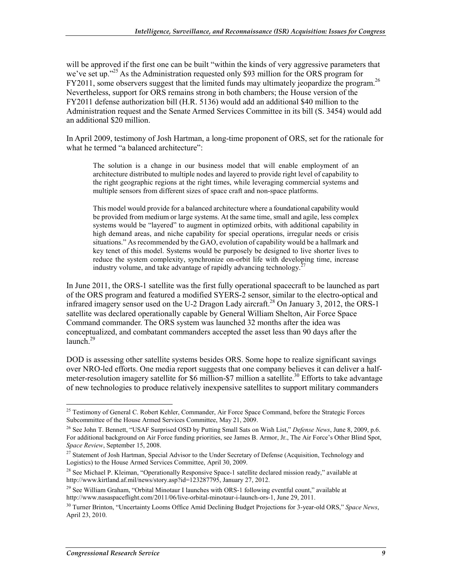will be approved if the first one can be built "within the kinds of very aggressive parameters that we've set up."<sup>25</sup> As the Administration requested only \$93 million for the ORS program for FY2011, some observers suggest that the limited funds may ultimately jeopardize the program.<sup>26</sup> Nevertheless, support for ORS remains strong in both chambers; the House version of the FY2011 defense authorization bill (H.R. 5136) would add an additional \$40 million to the Administration request and the Senate Armed Services Committee in its bill (S. 3454) would add an additional \$20 million.

In April 2009, testimony of Josh Hartman, a long-time proponent of ORS, set for the rationale for what he termed "a balanced architecture":

The solution is a change in our business model that will enable employment of an architecture distributed to multiple nodes and layered to provide right level of capability to the right geographic regions at the right times, while leveraging commercial systems and multiple sensors from different sizes of space craft and non-space platforms.

This model would provide for a balanced architecture where a foundational capability would be provided from medium or large systems. At the same time, small and agile, less complex systems would be "layered" to augment in optimized orbits, with additional capability in high demand areas, and niche capability for special operations, irregular needs or crisis situations." As recommended by the GAO, evolution of capability would be a hallmark and key tenet of this model. Systems would be purposely be designed to live shorter lives to reduce the system complexity, synchronize on-orbit life with developing time, increase industry volume, and take advantage of rapidly advancing technology.<sup>2</sup>

In June 2011, the ORS-1 satellite was the first fully operational spacecraft to be launched as part of the ORS program and featured a modified SYERS-2 sensor, similar to the electro-optical and infrared imagery sensor used on the U-2 Dragon Lady aircraft.<sup>28</sup> On January 3, 2012, the ORS-1 satellite was declared operationally capable by General William Shelton, Air Force Space Command commander. The ORS system was launched 32 months after the idea was conceptualized, and combatant commanders accepted the asset less than 90 days after the launch. $^{29}$ 

DOD is assessing other satellite systems besides ORS. Some hope to realize significant savings over NRO-led efforts. One media report suggests that one company believes it can deliver a halfmeter-resolution imagery satellite for \$6 million-\$7 million a satellite.<sup>30</sup> Efforts to take advantage of new technologies to produce relatively inexpensive satellites to support military commanders

<sup>&</sup>lt;u>.</u> <sup>25</sup> Testimony of General C. Robert Kehler, Commander, Air Force Space Command, before the Strategic Forces Subcommittee of the House Armed Services Committee, May 21, 2009.

<sup>26</sup> See John T. Bennett, "USAF Surprised OSD by Putting Small Sats on Wish List," *Defense News*, June 8, 2009, p.6. For additional background on Air Force funding priorities, see James B. Armor, Jr., The Air Force's Other Blind Spot, *Space Review*, September 15, 2008.

<sup>&</sup>lt;sup>27</sup> Statement of Josh Hartman, Special Advisor to the Under Secretary of Defense (Acquisition, Technology and Logistics) to the House Armed Services Committee, April 30, 2009.

<sup>&</sup>lt;sup>28</sup> See Michael P. Kleiman, "Operationally Responsive Space-1 satellite declared mission ready," available at http://www.kirtland.af.mil/news/story.asp?id=123287795, January 27, 2012.

<sup>&</sup>lt;sup>29</sup> See William Graham, "Orbital Minotaur I launches with ORS-1 following eventful count," available at http://www.nasaspaceflight.com/2011/06/live-orbital-minotaur-i-launch-ors-1, June 29, 2011.

<sup>30</sup> Turner Brinton, "Uncertainty Looms Office Amid Declining Budget Projections for 3-year-old ORS," *Space News*, April 23, 2010.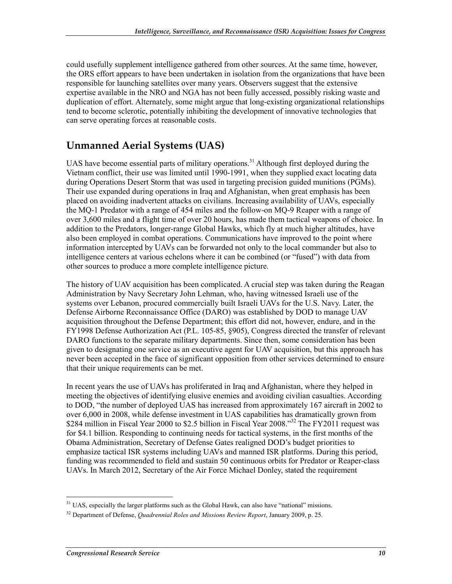could usefully supplement intelligence gathered from other sources. At the same time, however, the ORS effort appears to have been undertaken in isolation from the organizations that have been responsible for launching satellites over many years. Observers suggest that the extensive expertise available in the NRO and NGA has not been fully accessed, possibly risking waste and duplication of effort. Alternately, some might argue that long-existing organizational relationships tend to become sclerotic, potentially inhibiting the development of innovative technologies that can serve operating forces at reasonable costs.

#### **Unmanned Aerial Systems (UAS)**

UAS have become essential parts of military operations.<sup>31</sup> Although first deployed during the Vietnam conflict, their use was limited until 1990-1991, when they supplied exact locating data during Operations Desert Storm that was used in targeting precision guided munitions (PGMs). Their use expanded during operations in Iraq and Afghanistan, when great emphasis has been placed on avoiding inadvertent attacks on civilians. Increasing availability of UAVs, especially the MQ-1 Predator with a range of 454 miles and the follow-on MQ-9 Reaper with a range of over 3,600 miles and a flight time of over 20 hours, has made them tactical weapons of choice. In addition to the Predators, longer-range Global Hawks, which fly at much higher altitudes, have also been employed in combat operations. Communications have improved to the point where information intercepted by UAVs can be forwarded not only to the local commander but also to intelligence centers at various echelons where it can be combined (or "fused") with data from other sources to produce a more complete intelligence picture.

The history of UAV acquisition has been complicated. A crucial step was taken during the Reagan Administration by Navy Secretary John Lehman, who, having witnessed Israeli use of the systems over Lebanon, procured commercially built Israeli UAVs for the U.S. Navy. Later, the Defense Airborne Reconnaissance Office (DARO) was established by DOD to manage UAV acquisition throughout the Defense Department; this effort did not, however, endure, and in the FY1998 Defense Authorization Act (P.L. 105-85, §905), Congress directed the transfer of relevant DARO functions to the separate military departments. Since then, some consideration has been given to designating one service as an executive agent for UAV acquisition, but this approach has never been accepted in the face of significant opposition from other services determined to ensure that their unique requirements can be met.

In recent years the use of UAVs has proliferated in Iraq and Afghanistan, where they helped in meeting the objectives of identifying elusive enemies and avoiding civilian casualties. According to DOD, "the number of deployed UAS has increased from approximately 167 aircraft in 2002 to over 6,000 in 2008, while defense investment in UAS capabilities has dramatically grown from \$284 million in Fiscal Year 2000 to \$2.5 billion in Fiscal Year 2008."<sup>32</sup> The FY2011 request was for \$4.1 billion. Responding to continuing needs for tactical systems, in the first months of the Obama Administration, Secretary of Defense Gates realigned DOD's budget priorities to emphasize tactical ISR systems including UAVs and manned ISR platforms. During this period, funding was recommended to field and sustain 50 continuous orbits for Predator or Reaper-class UAVs. In March 2012, Secretary of the Air Force Michael Donley, stated the requirement

 $31$  UAS, especially the larger platforms such as the Global Hawk, can also have "national" missions.

<sup>32</sup> Department of Defense, *Quadrennial Roles and Missions Review Report*, January 2009, p. 25.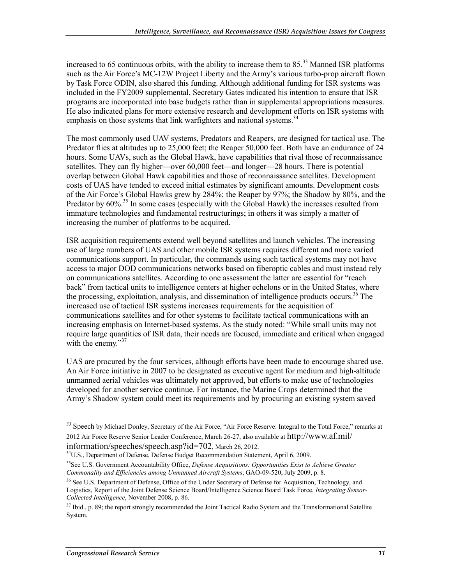increased to 65 continuous orbits, with the ability to increase them to  $85<sup>33</sup>$  Manned ISR platforms such as the Air Force's MC-12W Project Liberty and the Army's various turbo-prop aircraft flown by Task Force ODIN, also shared this funding. Although additional funding for ISR systems was included in the FY2009 supplemental, Secretary Gates indicated his intention to ensure that ISR programs are incorporated into base budgets rather than in supplemental appropriations measures. He also indicated plans for more extensive research and development efforts on ISR systems with emphasis on those systems that link warfighters and national systems.<sup>34</sup>

The most commonly used UAV systems, Predators and Reapers, are designed for tactical use. The Predator flies at altitudes up to 25,000 feet; the Reaper 50,000 feet. Both have an endurance of 24 hours. Some UAVs, such as the Global Hawk, have capabilities that rival those of reconnaissance satellites. They can fly higher—over 60,000 feet—and longer—28 hours. There is potential overlap between Global Hawk capabilities and those of reconnaissance satellites. Development costs of UAS have tended to exceed initial estimates by significant amounts. Development costs of the Air Force's Global Hawks grew by 284%; the Reaper by 97%; the Shadow by 80%, and the Predator by  $60\%$ <sup>35</sup> In some cases (especially with the Global Hawk) the increases resulted from immature technologies and fundamental restructurings; in others it was simply a matter of increasing the number of platforms to be acquired.

ISR acquisition requirements extend well beyond satellites and launch vehicles. The increasing use of large numbers of UAS and other mobile ISR systems requires different and more varied communications support. In particular, the commands using such tactical systems may not have access to major DOD communications networks based on fiberoptic cables and must instead rely on communications satellites. According to one assessment the latter are essential for "reach back" from tactical units to intelligence centers at higher echelons or in the United States, where the processing, exploitation, analysis, and dissemination of intelligence products occurs.<sup>36</sup> The increased use of tactical ISR systems increases requirements for the acquisition of communications satellites and for other systems to facilitate tactical communications with an increasing emphasis on Internet-based systems. As the study noted: "While small units may not require large quantities of ISR data, their needs are focused, immediate and critical when engaged with the enemy."<sup>37</sup>

UAS are procured by the four services, although efforts have been made to encourage shared use. An Air Force initiative in 2007 to be designated as executive agent for medium and high-altitude unmanned aerial vehicles was ultimately not approved, but efforts to make use of technologies developed for another service continue. For instance, the Marine Crops determined that the Army's Shadow system could meet its requirements and by procuring an existing system saved

information/speeches/speech.asp?id=702, March 26, 2012.<br><sup>34</sup>U.S., Department of Defense, Defense Budget Recommendation Statement, April 6, 2009.

*<sup>33</sup>* Speech by Michael Donley, Secretary of the Air Force, "Air Force Reserve: Integral to the Total Force," remarks at 2012 Air Force Reserve Senior Leader Conference, March 26-27, also available at http://www.af.mil/

<sup>35</sup>See U.S. Government Accountability Office, *Defense Acquisitions: Opportunities Exist to Achieve Greater Commonality and Efficiencies among Unmanned Aircraft Systems*, GAO-09-520, July 2009, p. 8.

<sup>&</sup>lt;sup>36</sup> See U.S. Department of Defense, Office of the Under Secretary of Defense for Acquisition, Technology, and Logistics, Report of the Joint Defense Science Board/Intelligence Science Board Task Force, *Integrating Sensor-Collected Intelligence*, November 2008, p. 86.

 $37$  Ibid., p. 89; the report strongly recommended the Joint Tactical Radio System and the Transformational Satellite System.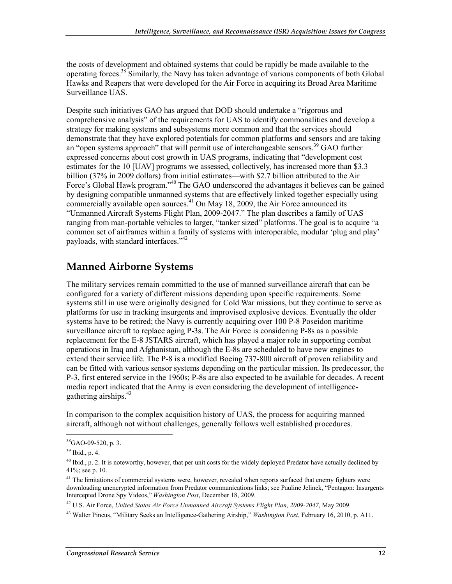the costs of development and obtained systems that could be rapidly be made available to the operating forces.38 Similarly, the Navy has taken advantage of various components of both Global Hawks and Reapers that were developed for the Air Force in acquiring its Broad Area Maritime Surveillance UAS.

Despite such initiatives GAO has argued that DOD should undertake a "rigorous and comprehensive analysis" of the requirements for UAS to identify commonalities and develop a strategy for making systems and subsystems more common and that the services should demonstrate that they have explored potentials for common platforms and sensors and are taking an "open systems approach" that will permit use of interchangeable sensors.<sup>39</sup> GAO further expressed concerns about cost growth in UAS programs, indicating that "development cost estimates for the 10 [UAV] programs we assessed, collectively, has increased more than \$3.3 billion (37% in 2009 dollars) from initial estimates—with \$2.7 billion attributed to the Air Force's Global Hawk program."40 The GAO underscored the advantages it believes can be gained by designing compatible unmanned systems that are effectively linked together especially using commercially available open sources.<sup> $41$ </sup> On May 18, 2009, the Air Force announced its "Unmanned Aircraft Systems Flight Plan, 2009-2047." The plan describes a family of UAS ranging from man-portable vehicles to larger, "tanker sized" platforms. The goal is to acquire "a common set of airframes within a family of systems with interoperable, modular 'plug and play' payloads, with standard interfaces."<sup>42</sup>

#### **Manned Airborne Systems**

The military services remain committed to the use of manned surveillance aircraft that can be configured for a variety of different missions depending upon specific requirements. Some systems still in use were originally designed for Cold War missions, but they continue to serve as platforms for use in tracking insurgents and improvised explosive devices. Eventually the older systems have to be retired; the Navy is currently acquiring over 100 P-8 Poseidon maritime surveillance aircraft to replace aging P-3s. The Air Force is considering P-8s as a possible replacement for the E-8 JSTARS aircraft, which has played a major role in supporting combat operations in Iraq and Afghanistan, although the E-8s are scheduled to have new engines to extend their service life. The P-8 is a modified Boeing 737-800 aircraft of proven reliability and can be fitted with various sensor systems depending on the particular mission. Its predecessor, the P-3, first entered service in the 1960s; P-8s are also expected to be available for decades. A recent media report indicated that the Army is even considering the development of intelligencegathering airships. $43$ 

In comparison to the complex acquisition history of UAS, the process for acquiring manned aircraft, although not without challenges, generally follows well established procedures.

 $38$ GAO-09-520, p. 3.

<sup>39</sup> Ibid., p. 4.

 $^{40}$  Ibid., p. 2. It is noteworthy, however, that per unit costs for the widely deployed Predator have actually declined by 41%; see p. 10.

<sup>&</sup>lt;sup>41</sup> The limitations of commercial systems were, however, revealed when reports surfaced that enemy fighters were downloading unencrypted information from Predator communications links; see Pauline Jelinek, "Pentagon: Insurgents Intercepted Drone Spy Videos," *Washington Post*, December 18, 2009.

<sup>42</sup> U.S. Air Force, *United States Air Force Unmanned Aircraft Systems Flight Plan, 2009-2047*, May 2009.

<sup>43</sup> Walter Pincus, "Military Seeks an Intelligence-Gathering Airship," *Washington Post*, February 16, 2010, p. A11.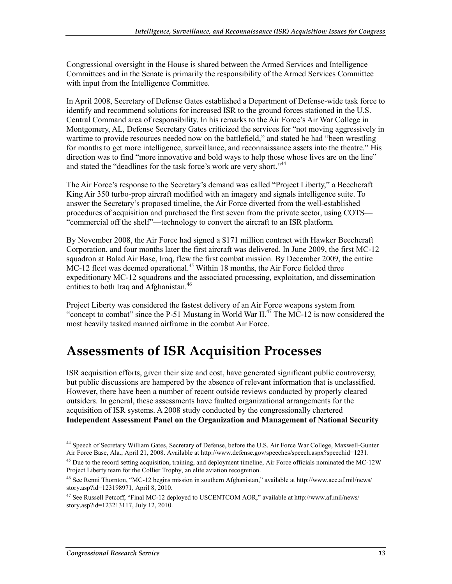Congressional oversight in the House is shared between the Armed Services and Intelligence Committees and in the Senate is primarily the responsibility of the Armed Services Committee with input from the Intelligence Committee.

In April 2008, Secretary of Defense Gates established a Department of Defense-wide task force to identify and recommend solutions for increased ISR to the ground forces stationed in the U.S. Central Command area of responsibility. In his remarks to the Air Force's Air War College in Montgomery, AL, Defense Secretary Gates criticized the services for "not moving aggressively in wartime to provide resources needed now on the battlefield," and stated he had "been wrestling for months to get more intelligence, surveillance, and reconnaissance assets into the theatre." His direction was to find "more innovative and bold ways to help those whose lives are on the line" and stated the "deadlines for the task force's work are very short."<sup>44</sup>

The Air Force's response to the Secretary's demand was called "Project Liberty," a Beechcraft King Air 350 turbo-prop aircraft modified with an imagery and signals intelligence suite. To answer the Secretary's proposed timeline, the Air Force diverted from the well-established procedures of acquisition and purchased the first seven from the private sector, using COTS— "commercial off the shelf"—technology to convert the aircraft to an ISR platform.

By November 2008, the Air Force had signed a \$171 million contract with Hawker Beechcraft Corporation, and four months later the first aircraft was delivered. In June 2009, the first MC-12 squadron at Balad Air Base, Iraq, flew the first combat mission. By December 2009, the entire  $MC-12$  fleet was deemed operational.<sup>45</sup> Within 18 months, the Air Force fielded three expeditionary MC-12 squadrons and the associated processing, exploitation, and dissemination entities to both Iraq and Afghanistan.<sup>46</sup>

Project Liberty was considered the fastest delivery of an Air Force weapons system from "concept to combat" since the P-51 Mustang in World War  $II^{47}$ . The MC-12 is now considered the most heavily tasked manned airframe in the combat Air Force.

### **Assessments of ISR Acquisition Processes**

ISR acquisition efforts, given their size and cost, have generated significant public controversy, but public discussions are hampered by the absence of relevant information that is unclassified. However, there have been a number of recent outside reviews conducted by properly cleared outsiders. In general, these assessments have faulted organizational arrangements for the acquisition of ISR systems. A 2008 study conducted by the congressionally chartered **Independent Assessment Panel on the Organization and Management of National Security** 

<sup>44</sup> Speech of Secretary William Gates, Secretary of Defense, before the U.S. Air Force War College, Maxwell-Gunter Air Force Base, Ala., April 21, 2008. Available at http://www.defense.gov/speeches/speech.aspx?speechid=1231.

<sup>&</sup>lt;sup>45</sup> Due to the record setting acquisition, training, and deployment timeline, Air Force officials nominated the MC-12W Project Liberty team for the Collier Trophy, an elite aviation recognition.

<sup>46</sup> See Renni Thornton, "MC-12 begins mission in southern Afghanistan," available at http://www.acc.af.mil/news/ story.asp?id=123198971, April 8, 2010.

<sup>47</sup> See Russell Petcoff, "Final MC-12 deployed to USCENTCOM AOR," available at http://www.af.mil/news/ story.asp?id=123213117, July 12, 2010.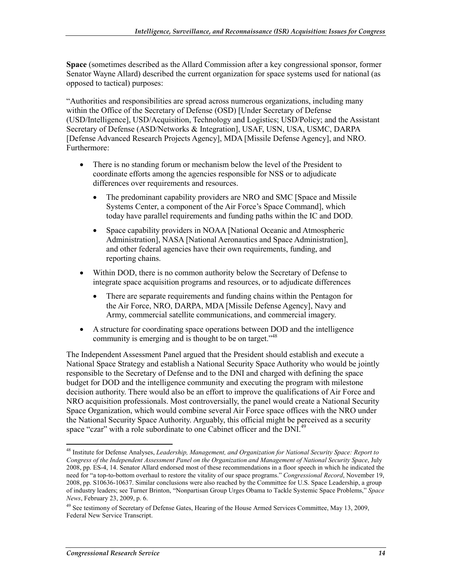**Space** (sometimes described as the Allard Commission after a key congressional sponsor, former Senator Wayne Allard) described the current organization for space systems used for national (as opposed to tactical) purposes:

"Authorities and responsibilities are spread across numerous organizations, including many within the Office of the Secretary of Defense (OSD) [Under Secretary of Defense (USD/Intelligence], USD/Acquisition, Technology and Logistics; USD/Policy; and the Assistant Secretary of Defense (ASD/Networks & Integration], USAF, USN, USA, USMC, DARPA [Defense Advanced Research Projects Agency], MDA [Missile Defense Agency], and NRO. Furthermore:

- There is no standing forum or mechanism below the level of the President to coordinate efforts among the agencies responsible for NSS or to adjudicate differences over requirements and resources.
	- The predominant capability providers are NRO and SMC [Space and Missile] Systems Center, a component of the Air Force's Space Command], which today have parallel requirements and funding paths within the IC and DOD.
	- Space capability providers in NOAA [National Oceanic and Atmospheric Administration], NASA [National Aeronautics and Space Administration], and other federal agencies have their own requirements, funding, and reporting chains.
- Within DOD, there is no common authority below the Secretary of Defense to integrate space acquisition programs and resources, or to adjudicate differences
	- There are separate requirements and funding chains within the Pentagon for the Air Force, NRO, DARPA, MDA [Missile Defense Agency], Navy and Army, commercial satellite communications, and commercial imagery.
- A structure for coordinating space operations between DOD and the intelligence community is emerging and is thought to be on target.<sup>"48</sup>

The Independent Assessment Panel argued that the President should establish and execute a National Space Strategy and establish a National Security Space Authority who would be jointly responsible to the Secretary of Defense and to the DNI and charged with defining the space budget for DOD and the intelligence community and executing the program with milestone decision authority. There would also be an effort to improve the qualifications of Air Force and NRO acquisition professionals. Most controversially, the panel would create a National Security Space Organization, which would combine several Air Force space offices with the NRO under the National Security Space Authority. Arguably, this official might be perceived as a security space "czar" with a role subordinate to one Cabinet officer and the DNI.<sup>49</sup>

<sup>1</sup> 48 Institute for Defense Analyses, *Leadership, Management, and Organization for National Security Space: Report to Congress of the Independent Assessment Panel on the Organization and Management of National Security Space*, July 2008, pp. ES-4, 14. Senator Allard endorsed most of these recommendations in a floor speech in which he indicated the need for "a top-to-bottom overhaul to restore the vitality of our space programs." *Congressional Record*, November 19, 2008, pp. S10636-10637. Similar conclusions were also reached by the Committee for U.S. Space Leadership, a group of industry leaders; see Turner Brinton, "Nonpartisan Group Urges Obama to Tackle Systemic Space Problems," *Space News*, February 23, 2009, p. 6.

<sup>&</sup>lt;sup>49</sup> See testimony of Secretary of Defense Gates, Hearing of the House Armed Services Committee, May 13, 2009, Federal New Service Transcript.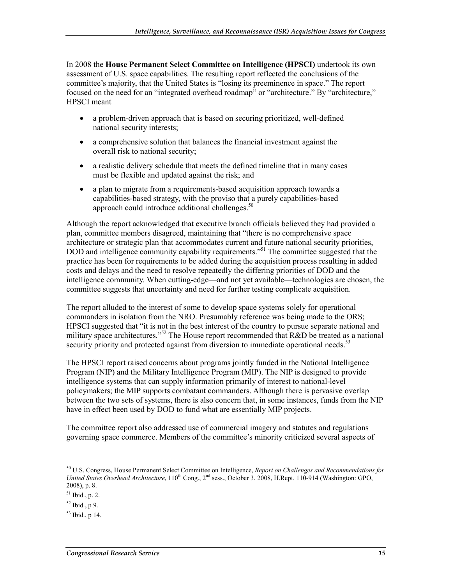In 2008 the **House Permanent Select Committee on Intelligence (HPSCI)** undertook its own assessment of U.S. space capabilities. The resulting report reflected the conclusions of the committee's majority, that the United States is "losing its preeminence in space." The report focused on the need for an "integrated overhead roadmap" or "architecture." By "architecture," HPSCI meant

- a problem-driven approach that is based on securing prioritized, well-defined national security interests;
- a comprehensive solution that balances the financial investment against the overall risk to national security;
- a realistic delivery schedule that meets the defined timeline that in many cases must be flexible and updated against the risk; and
- a plan to migrate from a requirements-based acquisition approach towards a capabilities-based strategy, with the proviso that a purely capabilities-based approach could introduce additional challenges.<sup>50</sup>

Although the report acknowledged that executive branch officials believed they had provided a plan, committee members disagreed, maintaining that "there is no comprehensive space architecture or strategic plan that accommodates current and future national security priorities, DOD and intelligence community capability requirements."<sup>51</sup> The committee suggested that the practice has been for requirements to be added during the acquisition process resulting in added costs and delays and the need to resolve repeatedly the differing priorities of DOD and the intelligence community. When cutting-edge—and not yet available—technologies are chosen, the committee suggests that uncertainty and need for further testing complicate acquisition.

The report alluded to the interest of some to develop space systems solely for operational commanders in isolation from the NRO. Presumably reference was being made to the ORS; HPSCI suggested that "it is not in the best interest of the country to pursue separate national and military space architectures."<sup>52</sup> The House report recommended that R&D be treated as a national security priority and protected against from diversion to immediate operational needs.<sup>53</sup>

The HPSCI report raised concerns about programs jointly funded in the National Intelligence Program (NIP) and the Military Intelligence Program (MIP). The NIP is designed to provide intelligence systems that can supply information primarily of interest to national-level policymakers; the MIP supports combatant commanders. Although there is pervasive overlap between the two sets of systems, there is also concern that, in some instances, funds from the NIP have in effect been used by DOD to fund what are essentially MIP projects.

The committee report also addressed use of commercial imagery and statutes and regulations governing space commerce. Members of the committee's minority criticized several aspects of

<sup>50</sup> U.S. Congress, House Permanent Select Committee on Intelligence, *Report on Challenges and Recommendations for United States Overhead Architecture*, 110<sup>th</sup> Cong., 2<sup>nd</sup> sess., October 3, 2008, H.Rept. 110-914 (Washington: GPO, 2008), p. 8.

<sup>51</sup> Ibid., p. 2.

 $52$  Ibid., p 9.

 $53$  Ibid., p 14.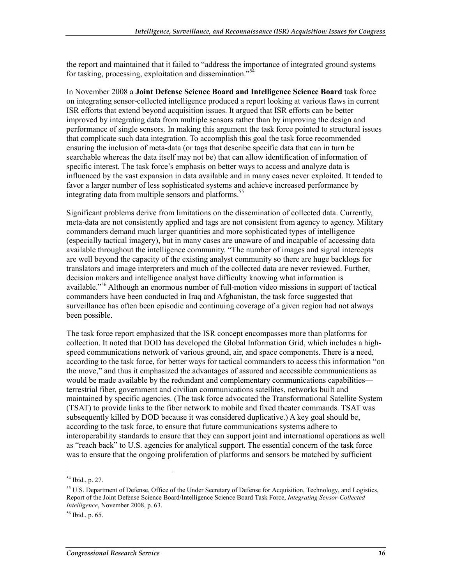the report and maintained that it failed to "address the importance of integrated ground systems for tasking, processing, exploitation and dissemination."<sup>54</sup>

In November 2008 a **Joint Defense Science Board and Intelligence Science Board** task force on integrating sensor-collected intelligence produced a report looking at various flaws in current ISR efforts that extend beyond acquisition issues. It argued that ISR efforts can be better improved by integrating data from multiple sensors rather than by improving the design and performance of single sensors. In making this argument the task force pointed to structural issues that complicate such data integration. To accomplish this goal the task force recommended ensuring the inclusion of meta-data (or tags that describe specific data that can in turn be searchable whereas the data itself may not be) that can allow identification of information of specific interest. The task force's emphasis on better ways to access and analyze data is influenced by the vast expansion in data available and in many cases never exploited. It tended to favor a larger number of less sophisticated systems and achieve increased performance by integrating data from multiple sensors and platforms.<sup>55</sup>

Significant problems derive from limitations on the dissemination of collected data. Currently, meta-data are not consistently applied and tags are not consistent from agency to agency. Military commanders demand much larger quantities and more sophisticated types of intelligence (especially tactical imagery), but in many cases are unaware of and incapable of accessing data available throughout the intelligence community. "The number of images and signal intercepts are well beyond the capacity of the existing analyst community so there are huge backlogs for translators and image interpreters and much of the collected data are never reviewed. Further, decision makers and intelligence analyst have difficulty knowing what information is available."<sup>56</sup> Although an enormous number of full-motion video missions in support of tactical commanders have been conducted in Iraq and Afghanistan, the task force suggested that surveillance has often been episodic and continuing coverage of a given region had not always been possible.

The task force report emphasized that the ISR concept encompasses more than platforms for collection. It noted that DOD has developed the Global Information Grid, which includes a highspeed communications network of various ground, air, and space components. There is a need, according to the task force, for better ways for tactical commanders to access this information "on the move," and thus it emphasized the advantages of assured and accessible communications as would be made available by the redundant and complementary communications capabilities terrestrial fiber, government and civilian communications satellites, networks built and maintained by specific agencies. (The task force advocated the Transformational Satellite System (TSAT) to provide links to the fiber network to mobile and fixed theater commands. TSAT was subsequently killed by DOD because it was considered duplicative.) A key goal should be, according to the task force, to ensure that future communications systems adhere to interoperability standards to ensure that they can support joint and international operations as well as "reach back" to U.S. agencies for analytical support. The essential concern of the task force was to ensure that the ongoing proliferation of platforms and sensors be matched by sufficient

<sup>54</sup> Ibid., p. 27.

<sup>&</sup>lt;sup>55</sup> U.S. Department of Defense, Office of the Under Secretary of Defense for Acquisition, Technology, and Logistics, Report of the Joint Defense Science Board/Intelligence Science Board Task Force, *Integrating Sensor-Collected Intelligence*, November 2008, p. 63.

 $56$  Ibid., p. 65.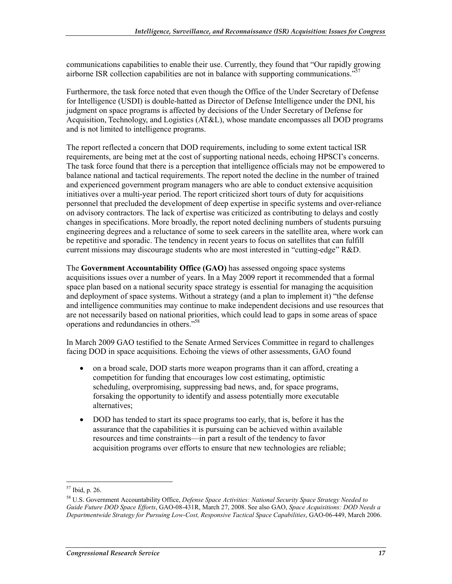communications capabilities to enable their use. Currently, they found that "Our rapidly growing airborne ISR collection capabilities are not in balance with supporting communications.<sup>35</sup>

Furthermore, the task force noted that even though the Office of the Under Secretary of Defense for Intelligence (USDI) is double-hatted as Director of Defense Intelligence under the DNI, his judgment on space programs is affected by decisions of the Under Secretary of Defense for Acquisition, Technology, and Logistics (AT&L), whose mandate encompasses all DOD programs and is not limited to intelligence programs.

The report reflected a concern that DOD requirements, including to some extent tactical ISR requirements, are being met at the cost of supporting national needs, echoing HPSCI's concerns. The task force found that there is a perception that intelligence officials may not be empowered to balance national and tactical requirements. The report noted the decline in the number of trained and experienced government program managers who are able to conduct extensive acquisition initiatives over a multi-year period. The report criticized short tours of duty for acquisitions personnel that precluded the development of deep expertise in specific systems and over-reliance on advisory contractors. The lack of expertise was criticized as contributing to delays and costly changes in specifications. More broadly, the report noted declining numbers of students pursuing engineering degrees and a reluctance of some to seek careers in the satellite area, where work can be repetitive and sporadic. The tendency in recent years to focus on satellites that can fulfill current missions may discourage students who are most interested in "cutting-edge" R&D.

The **Government Accountability Office (GAO)** has assessed ongoing space systems acquisitions issues over a number of years. In a May 2009 report it recommended that a formal space plan based on a national security space strategy is essential for managing the acquisition and deployment of space systems. Without a strategy (and a plan to implement it) "the defense and intelligence communities may continue to make independent decisions and use resources that are not necessarily based on national priorities, which could lead to gaps in some areas of space operations and redundancies in others."58

In March 2009 GAO testified to the Senate Armed Services Committee in regard to challenges facing DOD in space acquisitions. Echoing the views of other assessments, GAO found

- on a broad scale, DOD starts more weapon programs than it can afford, creating a competition for funding that encourages low cost estimating, optimistic scheduling, overpromising, suppressing bad news, and, for space programs, forsaking the opportunity to identify and assess potentially more executable alternatives;
- DOD has tended to start its space programs too early, that is, before it has the assurance that the capabilities it is pursuing can be achieved within available resources and time constraints—in part a result of the tendency to favor acquisition programs over efforts to ensure that new technologies are reliable;

<sup>57</sup> Ibid, p. 26.

<sup>58</sup> U.S. Government Accountability Office, *Defense Space Activities: National Security Space Strategy Needed to Guide Future DOD Space Efforts*, GAO-08-431R, March 27, 2008. See also GAO, *Space Acquisitions: DOD Needs a Departmentwide Strategy for Pursuing Low-Cost, Responsive Tactical Space Capabilities*, GAO-06-449, March 2006.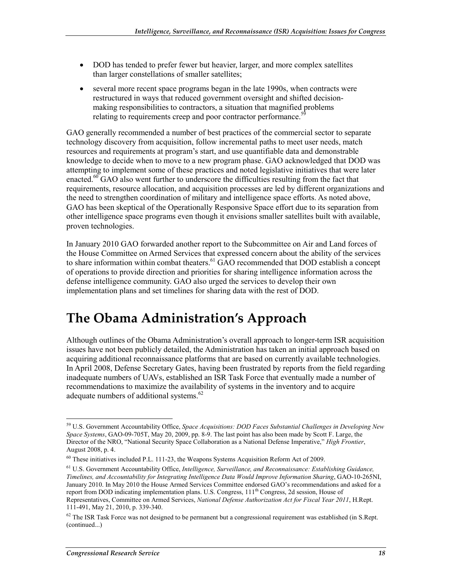- DOD has tended to prefer fewer but heavier, larger, and more complex satellites than larger constellations of smaller satellites;
- several more recent space programs began in the late 1990s, when contracts were restructured in ways that reduced government oversight and shifted decisionmaking responsibilities to contractors, a situation that magnified problems relating to requirements creep and poor contractor performance.<sup>5</sup>

GAO generally recommended a number of best practices of the commercial sector to separate technology discovery from acquisition, follow incremental paths to meet user needs, match resources and requirements at program's start, and use quantifiable data and demonstrable knowledge to decide when to move to a new program phase. GAO acknowledged that DOD was attempting to implement some of these practices and noted legislative initiatives that were later enacted.<sup>60</sup> GAO also went further to underscore the difficulties resulting from the fact that requirements, resource allocation, and acquisition processes are led by different organizations and the need to strengthen coordination of military and intelligence space efforts. As noted above, GAO has been skeptical of the Operationally Responsive Space effort due to its separation from other intelligence space programs even though it envisions smaller satellites built with available, proven technologies.

In January 2010 GAO forwarded another report to the Subcommittee on Air and Land forces of the House Committee on Armed Services that expressed concern about the ability of the services to share information within combat theaters.<sup>61</sup> GAO recommended that DOD establish a concept of operations to provide direction and priorities for sharing intelligence information across the defense intelligence community. GAO also urged the services to develop their own implementation plans and set timelines for sharing data with the rest of DOD.

### **The Obama Administration's Approach**

Although outlines of the Obama Administration's overall approach to longer-term ISR acquisition issues have not been publicly detailed, the Administration has taken an initial approach based on acquiring additional reconnaissance platforms that are based on currently available technologies. In April 2008, Defense Secretary Gates, having been frustrated by reports from the field regarding inadequate numbers of UAVs, established an ISR Task Force that eventually made a number of recommendations to maximize the availability of systems in the inventory and to acquire adequate numbers of additional systems.<sup>62</sup>

<sup>59</sup> U.S. Government Accountability Office, *Space Acquisitions: DOD Faces Substantial Challenges in Developing New Space Systems*, GAO-09-705T, May 20, 2009, pp. 8-9. The last point has also been made by Scott F. Large, the Director of the NRO, "National Security Space Collaboration as a National Defense Imperative," *High Frontier*, August 2008, p. 4.

<sup>60</sup> These initiatives included P.L. 111-23, the Weapons Systems Acquisition Reform Act of 2009.

<sup>61</sup> U.S. Government Accountability Office, *Intelligence, Surveillance, and Reconnaissance: Establishing Guidance, Timelines, and Accountability for Integrating Intelligence Data Would Improve Information Sharing*, GAO-10-265NI, January 2010. In May 2010 the House Armed Services Committee endorsed GAO's recommendations and asked for a report from DOD indicating implementation plans. U.S. Congress,  $111<sup>th</sup>$  Congress, 2d session, House of Representatives, Committee on Armed Services, *National Defense Authorization Act for Fiscal Year 2011*, H.Rept. 111-491, May 21, 2010, p. 339-340.

 $62$  The ISR Task Force was not designed to be permanent but a congressional requirement was established (in S.Rept. (continued...)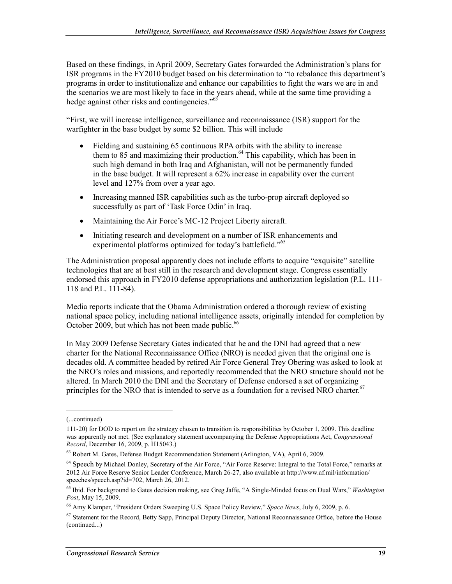Based on these findings, in April 2009, Secretary Gates forwarded the Administration's plans for ISR programs in the FY2010 budget based on his determination to "to rebalance this department's programs in order to institutionalize and enhance our capabilities to fight the wars we are in and the scenarios we are most likely to face in the years ahead, while at the same time providing a hedge against other risks and contingencies."<sup>63</sup>

"First, we will increase intelligence, surveillance and reconnaissance (ISR) support for the warfighter in the base budget by some \$2 billion. This will include

- Fielding and sustaining 65 continuous RPA orbits with the ability to increase them to 85 and maximizing their production.<sup>64</sup> This capability, which has been in such high demand in both Iraq and Afghanistan, will not be permanently funded in the base budget. It will represent a 62% increase in capability over the current level and 127% from over a year ago.
- Increasing manned ISR capabilities such as the turbo-prop aircraft deployed so successfully as part of 'Task Force Odin' in Iraq.
- Maintaining the Air Force's MC-12 Project Liberty aircraft.
- Initiating research and development on a number of ISR enhancements and experimental platforms optimized for today's battlefield."<sup>65</sup>

The Administration proposal apparently does not include efforts to acquire "exquisite" satellite technologies that are at best still in the research and development stage. Congress essentially endorsed this approach in FY2010 defense appropriations and authorization legislation (P.L. 111- 118 and P.L. 111-84).

Media reports indicate that the Obama Administration ordered a thorough review of existing national space policy, including national intelligence assets, originally intended for completion by October 2009, but which has not been made public.<sup>66</sup>

In May 2009 Defense Secretary Gates indicated that he and the DNI had agreed that a new charter for the National Reconnaissance Office (NRO) is needed given that the original one is decades old. A committee headed by retired Air Force General Trey Obering was asked to look at the NRO's roles and missions, and reportedly recommended that the NRO structure should not be altered. In March 2010 the DNI and the Secretary of Defense endorsed a set of organizing principles for the NRO that is intended to serve as a foundation for a revised NRO charter.<sup>67</sup>

<sup>(...</sup>continued)

<sup>111-20)</sup> for DOD to report on the strategy chosen to transition its responsibilities by October 1, 2009. This deadline was apparently not met. (See explanatory statement accompanying the Defense Appropriations Act, *Congressional Record*, December 16, 2009, p. H15043.)

<sup>63</sup> Robert M. Gates, Defense Budget Recommendation Statement (Arlington, VA), April 6, 2009.

<sup>&</sup>lt;sup>64</sup> Speech by Michael Donley, Secretary of the Air Force, "Air Force Reserve: Integral to the Total Force," remarks at 2012 Air Force Reserve Senior Leader Conference, March 26-27, also available at http://www.af.mil/information/ speeches/speech.asp?id=702, March 26, 2012.

<sup>65</sup> Ibid. For background to Gates decision making, see Greg Jaffe, "A Single-Minded focus on Dual Wars," *Washington Post*, May 15, 2009.

<sup>66</sup> Amy Klamper, "President Orders Sweeping U.S. Space Policy Review," *Space News*, July 6, 2009, p. 6.

 $67$  Statement for the Record, Betty Sapp, Principal Deputy Director, National Reconnaissance Office, before the House (continued...)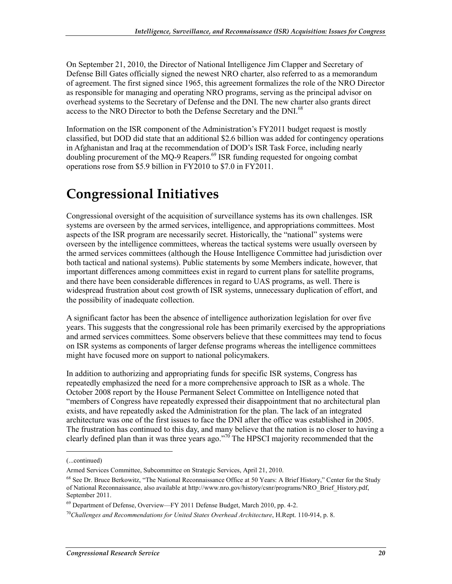On September 21, 2010, the Director of National Intelligence Jim Clapper and Secretary of Defense Bill Gates officially signed the newest NRO charter, also referred to as a memorandum of agreement. The first signed since 1965, this agreement formalizes the role of the NRO Director as responsible for managing and operating NRO programs, serving as the principal advisor on overhead systems to the Secretary of Defense and the DNI. The new charter also grants direct access to the NRO Director to both the Defense Secretary and the DNI.<sup>68</sup>

Information on the ISR component of the Administration's FY2011 budget request is mostly classified, but DOD did state that an additional \$2.6 billion was added for contingency operations in Afghanistan and Iraq at the recommendation of DOD's ISR Task Force, including nearly doubling procurement of the MQ-9 Reapers.<sup>69</sup> ISR funding requested for ongoing combat operations rose from \$5.9 billion in FY2010 to \$7.0 in FY2011.

# **Congressional Initiatives**

Congressional oversight of the acquisition of surveillance systems has its own challenges. ISR systems are overseen by the armed services, intelligence, and appropriations committees. Most aspects of the ISR program are necessarily secret. Historically, the "national" systems were overseen by the intelligence committees, whereas the tactical systems were usually overseen by the armed services committees (although the House Intelligence Committee had jurisdiction over both tactical and national systems). Public statements by some Members indicate, however, that important differences among committees exist in regard to current plans for satellite programs, and there have been considerable differences in regard to UAS programs, as well. There is widespread frustration about cost growth of ISR systems, unnecessary duplication of effort, and the possibility of inadequate collection.

A significant factor has been the absence of intelligence authorization legislation for over five years. This suggests that the congressional role has been primarily exercised by the appropriations and armed services committees. Some observers believe that these committees may tend to focus on ISR systems as components of larger defense programs whereas the intelligence committees might have focused more on support to national policymakers.

In addition to authorizing and appropriating funds for specific ISR systems, Congress has repeatedly emphasized the need for a more comprehensive approach to ISR as a whole. The October 2008 report by the House Permanent Select Committee on Intelligence noted that "members of Congress have repeatedly expressed their disappointment that no architectural plan exists, and have repeatedly asked the Administration for the plan. The lack of an integrated architecture was one of the first issues to face the DNI after the office was established in 2005. The frustration has continued to this day, and many believe that the nation is no closer to having a clearly defined plan than it was three years ago."<sup>70</sup> The HPSCI majority recommended that the

<sup>(...</sup>continued)

Armed Services Committee, Subcommittee on Strategic Services, April 21, 2010.

<sup>&</sup>lt;sup>68</sup> See Dr. Bruce Berkowitz, "The National Reconnaissance Office at 50 Years: A Brief History," Center for the Study of National Reconnaissance, also available at http://www.nro.gov/history/csnr/programs/NRO\_Brief\_History.pdf, September 2011.

 $69$  Department of Defense, Overview—FY 2011 Defense Budget, March 2010, pp. 4-2.

<sup>70</sup>*Challenges and Recommendations for United States Overhead Architecture*, H.Rept. 110-914, p. 8.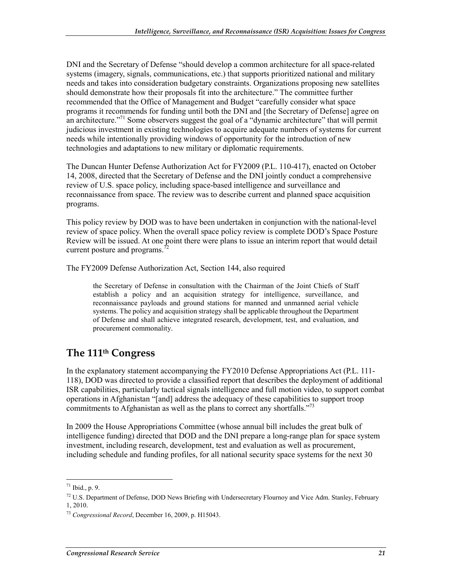DNI and the Secretary of Defense "should develop a common architecture for all space-related systems (imagery, signals, communications, etc.) that supports prioritized national and military needs and takes into consideration budgetary constraints. Organizations proposing new satellites should demonstrate how their proposals fit into the architecture." The committee further recommended that the Office of Management and Budget "carefully consider what space programs it recommends for funding until both the DNI and [the Secretary of Defense] agree on an architecture.<sup>"71</sup> Some observers suggest the goal of a "dynamic architecture" that will permit judicious investment in existing technologies to acquire adequate numbers of systems for current needs while intentionally providing windows of opportunity for the introduction of new technologies and adaptations to new military or diplomatic requirements.

The Duncan Hunter Defense Authorization Act for FY2009 (P.L. 110-417), enacted on October 14, 2008, directed that the Secretary of Defense and the DNI jointly conduct a comprehensive review of U.S. space policy, including space-based intelligence and surveillance and reconnaissance from space. The review was to describe current and planned space acquisition programs.

This policy review by DOD was to have been undertaken in conjunction with the national-level review of space policy. When the overall space policy review is complete DOD's Space Posture Review will be issued. At one point there were plans to issue an interim report that would detail current posture and programs.<sup>7</sup>

The FY2009 Defense Authorization Act, Section 144, also required

the Secretary of Defense in consultation with the Chairman of the Joint Chiefs of Staff establish a policy and an acquisition strategy for intelligence, surveillance, and reconnaissance payloads and ground stations for manned and unmanned aerial vehicle systems. The policy and acquisition strategy shall be applicable throughout the Department of Defense and shall achieve integrated research, development, test, and evaluation, and procurement commonality.

#### **The 111th Congress**

In the explanatory statement accompanying the FY2010 Defense Appropriations Act (P.L. 111- 118), DOD was directed to provide a classified report that describes the deployment of additional ISR capabilities, particularly tactical signals intelligence and full motion video, to support combat operations in Afghanistan "[and] address the adequacy of these capabilities to support troop commitments to Afghanistan as well as the plans to correct any shortfalls."<sup>73</sup>

In 2009 the House Appropriations Committee (whose annual bill includes the great bulk of intelligence funding) directed that DOD and the DNI prepare a long-range plan for space system investment, including research, development, test and evaluation as well as procurement, including schedule and funding profiles, for all national security space systems for the next 30

 $71$  Ibid., p. 9.

<sup>72</sup> U.S. Department of Defense, DOD News Briefing with Undersecretary Flournoy and Vice Adm. Stanley, February 1, 2010.

<sup>73</sup> *Congressional Record*, December 16, 2009, p. H15043.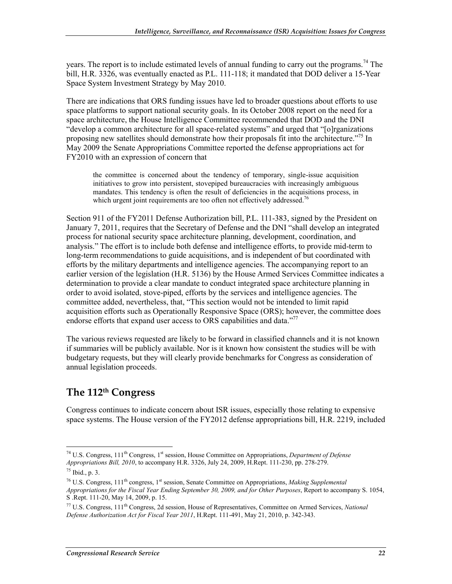years. The report is to include estimated levels of annual funding to carry out the programs.<sup>74</sup> The bill, H.R. 3326, was eventually enacted as P.L. 111-118; it mandated that DOD deliver a 15-Year Space System Investment Strategy by May 2010.

There are indications that ORS funding issues have led to broader questions about efforts to use space platforms to support national security goals. In its October 2008 report on the need for a space architecture, the House Intelligence Committee recommended that DOD and the DNI "develop a common architecture for all space-related systems" and urged that "[o]rganizations proposing new satellites should demonstrate how their proposals fit into the architecture.<sup>775</sup> In May 2009 the Senate Appropriations Committee reported the defense appropriations act for FY2010 with an expression of concern that

the committee is concerned about the tendency of temporary, single-issue acquisition initiatives to grow into persistent, stovepiped bureaucracies with increasingly ambiguous mandates. This tendency is often the result of deficiencies in the acquisitions process, in which urgent joint requirements are too often not effectively addressed.<sup>76</sup>

Section 911 of the FY2011 Defense Authorization bill, P.L. 111-383, signed by the President on January 7, 2011, requires that the Secretary of Defense and the DNI "shall develop an integrated process for national security space architecture planning, development, coordination, and analysis." The effort is to include both defense and intelligence efforts, to provide mid-term to long-term recommendations to guide acquisitions, and is independent of but coordinated with efforts by the military departments and intelligence agencies. The accompanying report to an earlier version of the legislation (H.R. 5136) by the House Armed Services Committee indicates a determination to provide a clear mandate to conduct integrated space architecture planning in order to avoid isolated, stove-piped, efforts by the services and intelligence agencies. The committee added, nevertheless, that, "This section would not be intended to limit rapid acquisition efforts such as Operationally Responsive Space (ORS); however, the committee does endorse efforts that expand user access to ORS capabilities and data."<sup>77</sup>

The various reviews requested are likely to be forward in classified channels and it is not known if summaries will be publicly available. Nor is it known how consistent the studies will be with budgetary requests, but they will clearly provide benchmarks for Congress as consideration of annual legislation proceeds.

#### **The 112th Congress**

Congress continues to indicate concern about ISR issues, especially those relating to expensive space systems. The House version of the FY2012 defense appropriations bill, H.R. 2219, included

<sup>1</sup> 74 U.S. Congress, 111th Congress, 1st session, House Committee on Appropriations, *Department of Defense Appropriations Bill, 2010*, to accompany H.R. 3326, July 24, 2009, H.Rept. 111-230, pp. 278-279.

 $75$  Ibid., p. 3.

<sup>76</sup> U.S. Congress, 111th congress, 1st session, Senate Committee on Appropriations, *Making Supplemental Appropriations for the Fiscal Year Ending September 30, 2009, and for Other Purposes*, Report to accompany S. 1054, S .Rept. 111-20, May 14, 2009, p. 15.

<sup>77</sup> U.S. Congress, 111th Congress, 2d session, House of Representatives, Committee on Armed Services, *National Defense Authorization Act for Fiscal Year 2011*, H.Rept. 111-491, May 21, 2010, p. 342-343.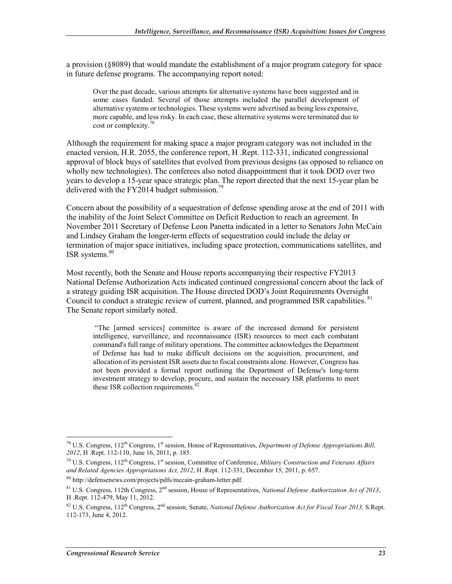a provision (§8089) that would mandate the establishment of a major program category for space in future defense programs. The accompanying report noted:

Over the past decade, various attempts for alternative systems have been suggested and in some cases funded. Several of those attempts included the parallel development of alternative systems or technologies. These systems were advertised as being less expensive, more capable, and less risky. In each case, these alternative systems were terminated due to cost or complexity.<sup>78</sup>

Although the requirement for making space a major program category was not included in the enacted version, H.R. 2055, the conference report, H .Rept. 112-331, indicated congressional approval of block buys of satellites that evolved from previous designs (as opposed to reliance on wholly new technologies). The conferees also noted disappointment that it took DOD over two years to develop a 15-year space strategic plan. The report directed that the next 15-year plan be delivered with the FY2014 budget submission.<sup>79</sup>

Concern about the possibility of a sequestration of defense spending arose at the end of 2011 with the inability of the Joint Select Committee on Deficit Reduction to reach an agreement. In November 2011 Secretary of Defense Leon Panetta indicated in a letter to Senators John McCain and Lindsey Graham the longer-term effects of sequestration could include the delay or termination of major space initiatives, including space protection, communications satellites, and ISR systems.<sup>80</sup>

Most recently, both the Senate and House reports accompanying their respective FY2013 National Defense Authorization Acts indicated continued congressional concern about the lack of a strategy guiding ISR acquisition. The House directed DOD's Joint Requirements Oversight Council to conduct a strategic review of current, planned, and programmed ISR capabilities. <sup>81</sup> The Senate report similarly noted.

 "The [armed services] committee is aware of the increased demand for persistent intelligence, surveillance, and reconnaissance (ISR) resources to meet each combatant command's full range of military operations. The committee acknowledges the Department of Defense has had to make difficult decisions on the acquisition, procurement, and allocation of its persistent ISR assets due to fiscal constraints alone. However, Congress has not been provided a formal report outlining the Department of Defense's long-term investment strategy to develop, procure, and sustain the necessary ISR platforms to meet these ISR collection requirements.<sup>82</sup>

<sup>1</sup> <sup>78</sup> U.S. Congress,  $112^{th}$  Congress,  $1^{st}$  session, House of Representatives, *Department of Defense Appropriations Bill*, *2012*, H .Rept. 112-110, June 16, 2011, p. 185.

<sup>79</sup> U.S. Congress, 112th Congress, 1st session, Committee of Conference, *Military Construction and Veterans Affairs and Related Agencies Appropriations Act, 2012*, H .Rept. 112-331, December 15, 2011, p. 657.

<sup>80</sup> http://defensenews.com/projects/pdfs/mccain-graham-letter.pdf.

 $81$  U.S. Congress, 112th Congress,  $2<sup>nd</sup>$  session, House of Representatives, *National Defense Authorization Act of 2013*, H .Rept. 112-479, May 11, 2012.

 $82$  U.S. Congress, 112<sup>th</sup> Congress, 2<sup>nd</sup> session, Senate, *National Defense Authorization Act for Fiscal Year 2013*, S.Rept. 112-173, June 4, 2012.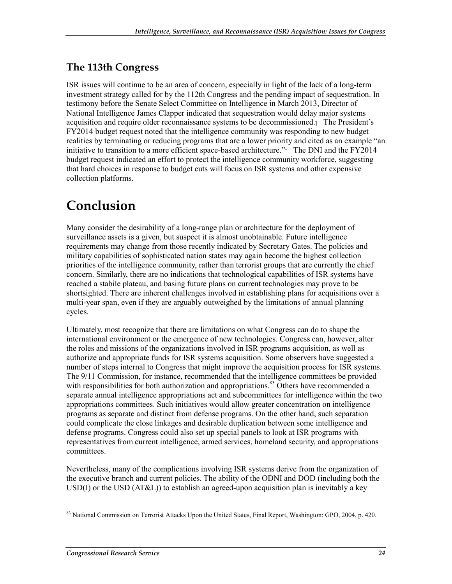#### **The 113th Congress**

ISR issues will continue to be an area of concern, especially in light of the lack of a long-term investment strategy called for by the 112th Congress and the pending impact of sequestration. In testimony before the Senate Select Committee on Intelligence in March 2013, Director of National Intelligence James Clapper indicated that sequestration would delay major systems acquisition and require older reconnaissance systems to be decommissioned. The President's  $\sum Q(14)$ FY2014 budget request noted that the intelligence community was responding to new budget realities by terminating or reducing programs that are a lower priority and cited as an example "an initiative to transition to a more efficient space-based architecture." $\frac{1}{1}$  The DNI and the FY2014 budget request indicated an effort to protect the intelligence community workforce, suggesting that hard choices in response to budget cuts will focus on ISR systems and other expensive collection platforms.

### **Conclusion**

Many consider the desirability of a long-range plan or architecture for the deployment of surveillance assets is a given, but suspect it is almost unobtainable. Future intelligence requirements may change from those recently indicated by Secretary Gates. The policies and military capabilities of sophisticated nation states may again become the highest collection priorities of the intelligence community, rather than terrorist groups that are currently the chief concern. Similarly, there are no indications that technological capabilities of ISR systems have reached a stabile plateau, and basing future plans on current technologies may prove to be shortsighted. There are inherent challenges involved in establishing plans for acquisitions over a multi-year span, even if they are arguably outweighed by the limitations of annual planning cycles.

Ultimately, most recognize that there are limitations on what Congress can do to shape the international environment or the emergence of new technologies. Congress can, however, alter the roles and missions of the organizations involved in ISR programs acquisition, as well as authorize and appropriate funds for ISR systems acquisition. Some observers have suggested a number of steps internal to Congress that might improve the acquisition process for ISR systems. The 9/11 Commission, for instance, recommended that the intelligence committees be provided with responsibilities for both authorization and appropriations.<sup>83</sup> Others have recommended a separate annual intelligence appropriations act and subcommittees for intelligence within the two appropriations committees. Such initiatives would allow greater concentration on intelligence programs as separate and distinct from defense programs. On the other hand, such separation could complicate the close linkages and desirable duplication between some intelligence and defense programs. Congress could also set up special panels to look at ISR programs with representatives from current intelligence, armed services, homeland security, and appropriations committees.

Nevertheless, many of the complications involving ISR systems derive from the organization of the executive branch and current policies. The ability of the ODNI and DOD (including both the USD(I) or the USD  $(AT&L)$ ) to establish an agreed-upon acquisition plan is inevitably a key

<sup>&</sup>lt;u>.</u> <sup>83</sup> National Commission on Terrorist Attacks Upon the United States, Final Report, Washington: GPO, 2004, p. 420.